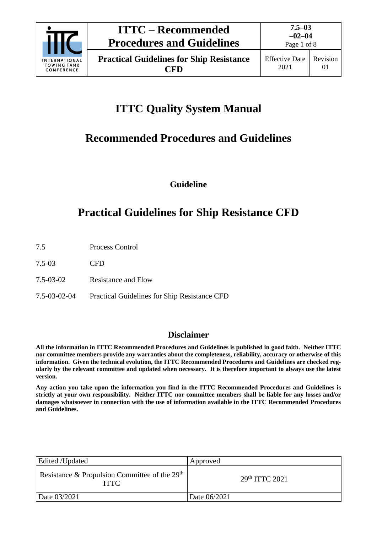

Page 1 of 8

# **ITTC Quality System Manual**

# **Recommended Procedures and Guidelines**

**Guideline**

# **Practical Guidelines for Ship Resistance CFD**

- 7.5 Process Control
- 7.5-03 CFD
- 7.5-03-02 Resistance and Flow
- 7.5-03-02-04 Practical Guidelines for Ship Resistance CFD

## **Disclaimer**

**All the information in ITTC Recommended Procedures and Guidelines is published in good faith. Neither ITTC nor committee members provide any warranties about the completeness, reliability, accuracy or otherwise of this information. Given the technical evolution, the ITTC Recommended Procedures and Guidelines are checked regularly by the relevant committee and updated when necessary. It is therefore important to always use the latest version.**

**Any action you take upon the information you find in the ITTC Recommended Procedures and Guidelines is strictly at your own responsibility. Neither ITTC nor committee members shall be liable for any losses and/or damages whatsoever in connection with the use of information available in the ITTC Recommended Procedures and Guidelines.**

| Edited /Updated                                                | Approved                   |
|----------------------------------------------------------------|----------------------------|
| Resistance & Propulsion Committee of the $29th$<br><b>ITTC</b> | 29 <sup>th</sup> TTTC 2021 |
| Date 03/2021                                                   | Date 06/2021               |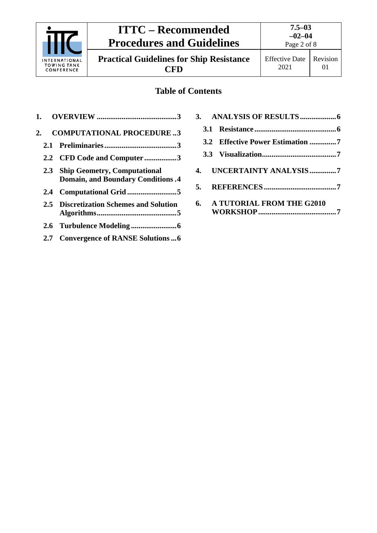

**Practical Guidelines for Ship Resistance CFD**

# **Table of Contents**

| 1.                                                                                     | 3.                                     |
|----------------------------------------------------------------------------------------|----------------------------------------|
| <b>COMPUTATIONAL PROCEDURE3</b><br>2.                                                  | <b>3.1</b>                             |
| 2.1                                                                                    | 3.2 Effective Power Estimation 7       |
| 2.2 CFD Code and Computer 3                                                            |                                        |
| <b>Ship Geometry, Computational</b><br>2.3<br><b>Domain, and Boundary Conditions.4</b> | <b>UNCERTAINTY ANALYSIS7</b><br>4.     |
|                                                                                        | 5.                                     |
| 2.5 Discretization Schemes and Solution                                                | <b>A TUTORIAL FROM THE G2010</b><br>6. |
|                                                                                        |                                        |
| <b>Convergence of RANSE Solutions6</b><br>2.7                                          |                                        |
|                                                                                        |                                        |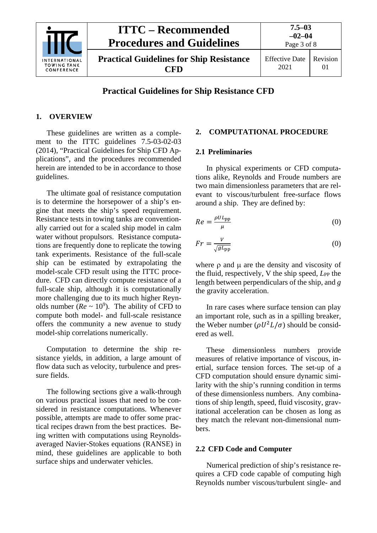

## **Practical Guidelines for Ship Resistance CFD**

#### <span id="page-2-0"></span>**1. OVERVIEW**

These guidelines are written as a complement to the ITTC guidelines 7.5-03-02-03 (2014), "Practical Guidelines for Ship CFD Applications", and the procedures recommended herein are intended to be in accordance to those guidelines.

The ultimate goal of resistance computation is to determine the horsepower of a ship's engine that meets the ship's speed requirement. Resistance tests in towing tanks are conventionally carried out for a scaled ship model in calm water without propulsors. Resistance computations are frequently done to replicate the towing tank experiments. Resistance of the full-scale ship can be estimated by extrapolating the model-scale CFD result using the ITTC procedure. CFD can directly compute resistance of a full-scale ship, although it is computationally more challenging due to its much higher Reynolds number ( $Re \sim 10^9$ ). The ability of CFD to compute both model- and full-scale resistance offers the community a new avenue to study model-ship correlations numerically.

Computation to determine the ship resistance yields, in addition, a large amount of flow data such as velocity, turbulence and pressure fields.

The following sections give a walk-through on various practical issues that need to be considered in resistance computations. Whenever possible, attempts are made to offer some practical recipes drawn from the best practices. Being written with computations using Reynoldsaveraged Navier-Stokes equations (RANSE) in mind, these guidelines are applicable to both surface ships and underwater vehicles.

#### <span id="page-2-2"></span><span id="page-2-1"></span>**2. COMPUTATIONAL PROCEDURE**

#### **2.1 Preliminaries**

In physical experiments or CFD computations alike, Reynolds and Froude numbers are two main dimensionless parameters that are relevant to viscous/turbulent free-surface flows around a ship. They are defined by:

$$
Re = \frac{\rho U L_{\rm pp}}{\mu} \tag{0}
$$

$$
Fr = \frac{V}{\sqrt{gL_{\rm pp}}} \tag{0}
$$

where  $\rho$  and  $\mu$  are the density and viscosity of the fluid, respectively, V the ship speed, *L*<sub>PP</sub> the length between perpendiculars of the ship, and *g* the gravity acceleration.

In rare cases where surface tension can play an important role, such as in a spilling breaker, the Weber number ( $\rho U^2 L / \sigma$ ) should be considered as well.

These dimensionless numbers provide measures of relative importance of viscous, inertial, surface tension forces. The set-up of a CFD computation should ensure dynamic similarity with the ship's running condition in terms of these dimensionless numbers. Any combinations of ship length, speed, fluid viscosity, gravitational acceleration can be chosen as long as they match the relevant non-dimensional numbers.

#### <span id="page-2-3"></span>**2.2 CFD Code and Computer**

Numerical prediction of ship's resistance requires a CFD code capable of computing high Reynolds number viscous/turbulent single- and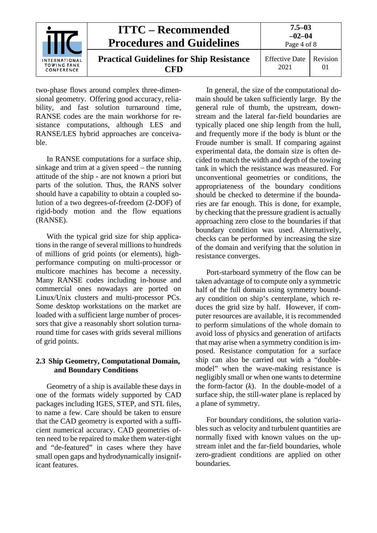

two-phase flows around complex three-dimensional geometry. Offering good accuracy, reliability, and fast solution turnaround time, RANSE codes are the main workhorse for resistance computations, although LES and RANSE/LES hybrid approaches are conceivable.

In RANSE computations for a surface ship, sinkage and trim at a given speed – the running attitude of the ship - are not known a priori but parts of the solution. Thus, the RANS solver should have a capability to obtain a coupled solution of a two degrees-of-freedom (2-DOF) of rigid-body motion and the flow equations (RANSE).

With the typical grid size for ship applications in the range of several millions to hundreds of millions of grid points (or elements), highperformance computing on multi-processor or multicore machines has become a necessity. Many RANSE codes including in-house and commercial ones nowadays are ported on Linux/Unix clusters and multi-processor PCs. Some desktop workstations on the market are loaded with a sufficient large number of processors that give a reasonably short solution turnaround time for cases with grids several millions of grid points.

### <span id="page-3-0"></span>**2.3 Ship Geometry, Computational Domain, and Boundary Conditions**

Geometry of a ship is available these days in one of the formats widely supported by CAD packages including IGES, STEP, and STL files, to name a few. Care should be taken to ensure that the CAD geometry is exported with a sufficient numerical accuracy. CAD geometries often need to be repaired to make them water-tight and "de-featured" in cases where they have small open gaps and hydrodynamically insignificant features.

In general, the size of the computational domain should be taken sufficiently large. By the general rule of thumb, the upstream, downstream and the lateral far-field boundaries are typically placed one ship length from the hull, and frequently more if the body is blunt or the Froude number is small. If comparing against experimental data, the domain size is often decided to match the width and depth of the towing tank in which the resistance was measured. For unconventional geometries or conditions, the appropriateness of the boundary conditions should be checked to determine if the boundaries are far enough. This is done, for example, by checking that the pressure gradient is actually approaching zero close to the boundaries if that boundary condition was used. Alternatively, checks can be performed by increasing the size of the domain and verifying that the solution in resistance converges.

Port-starboard symmetry of the flow can be taken advantage of to compute only a symmetric half of the full domain using symmetry boundary condition on ship's centerplane, which reduces the grid size by half. However, if computer resources are available, it is recommended to perform simulations of the whole domain to avoid loss of physics and generation of artifacts that may arise when a symmetry condition is imposed. Resistance computation for a surface ship can also be carried out with a "doublemodel" when the wave-making resistance is negligibly small or when one wants to determine the form-factor (*k*). In the double-model of a surface ship, the still-water plane is replaced by a plane of symmetry.

For boundary conditions, the solution variables such as velocity and turbulent quantities are normally fixed with known values on the upstream inlet and the far-field boundaries, whole zero-gradient conditions are applied on other boundaries.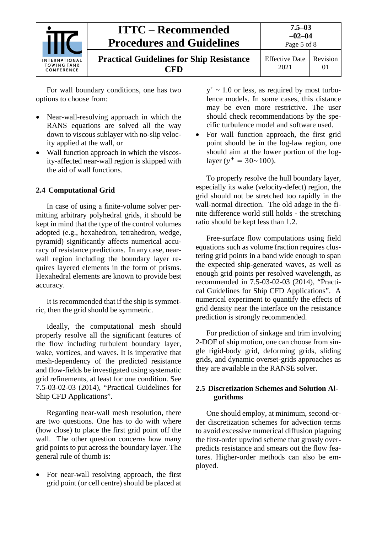

For wall boundary conditions, one has two options to choose from:

- Near-wall-resolving approach in which the RANS equations are solved all the way down to viscous sublayer with no-slip velocity applied at the wall, or
- Wall function approach in which the viscosity-affected near-wall region is skipped with the aid of wall functions.

### <span id="page-4-0"></span>**2.4 Computational Grid**

In case of using a finite-volume solver permitting arbitrary polyhedral grids, it should be kept in mind that the type of the control volumes adopted (e.g., hexahedron, tetrahedron, wedge, pyramid) significantly affects numerical accuracy of resistance predictions. In any case, nearwall region including the boundary layer requires layered elements in the form of prisms. Hexahedral elements are known to provide best accuracy.

It is recommended that if the ship is symmetric, then the grid should be symmetric.

Ideally, the computational mesh should properly resolve all the significant features of the flow including turbulent boundary layer, wake, vortices, and waves. It is imperative that mesh-dependency of the predicted resistance and flow-fields be investigated using systematic grid refinements, at least for one condition. See 7.5-03-02-03 (2014), "Practical Guidelines for Ship CFD Applications".

Regarding near-wall mesh resolution, there are two questions. One has to do with where (how close) to place the first grid point off the wall. The other question concerns how many grid points to put across the boundary layer. The general rule of thumb is:

• For near-wall resolving approach, the first grid point (or cell centre) should be placed at  $y^+$  ~ 1.0 or less, as required by most turbulence models. In some cases, this distance may be even more restrictive. The user should check recommendations by the specific turbulence model and software used.

• For wall function approach, the first grid point should be in the log-law region, one should aim at the lower portion of the loglayer ( $y^+ = 30 \sim 100$ ).

To properly resolve the hull boundary layer, especially its wake (velocity-defect) region, the grid should not be stretched too rapidly in the wall-normal direction. The old adage in the finite difference world still holds - the stretching ratio should be kept less than 1.2.

Free-surface flow computations using field equations such as volume fraction requires clustering grid points in a band wide enough to span the expected ship-generated waves, as well as enough grid points per resolved wavelength, as recommended in 7.5-03-02-03 (2014), "Practical Guidelines for Ship CFD Applications". A numerical experiment to quantify the effects of grid density near the interface on the resistance prediction is strongly recommended.

For prediction of sinkage and trim involving 2-DOF of ship motion, one can choose from single rigid-body grid, deforming grids, sliding grids, and dynamic overset-grids approaches as they are available in the RANSE solver.

#### <span id="page-4-1"></span>**2.5 Discretization Schemes and Solution Algorithms**

One should employ, at minimum, second-order discretization schemes for advection terms to avoid excessive numerical diffusion plaguing the first-order upwind scheme that grossly overpredicts resistance and smears out the flow features. Higher-order methods can also be employed.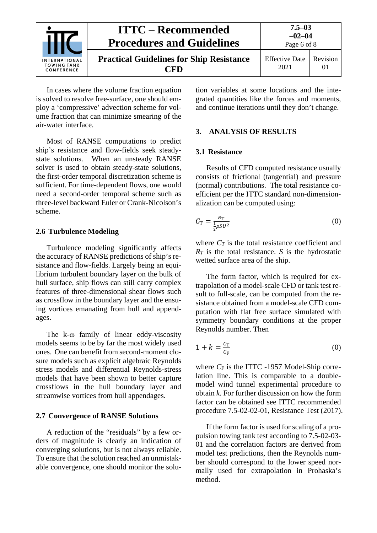

In cases where the volume fraction equation is solved to resolve free-surface, one should employ a 'compressive' advection scheme for volume fraction that can minimize smearing of the air-water interface.

Most of RANSE computations to predict ship's resistance and flow-fields seek steadystate solutions. When an unsteady RANSE solver is used to obtain steady-state solutions, the first-order temporal discretization scheme is sufficient. For time-dependent flows, one would need a second-order temporal scheme such as three-level backward Euler or Crank-Nicolson's scheme.

#### <span id="page-5-0"></span>**2.6 Turbulence Modeling**

Turbulence modeling significantly affects the accuracy of RANSE predictions of ship's resistance and flow-fields. Largely being an equilibrium turbulent boundary layer on the bulk of hull surface, ship flows can still carry complex features of three-dimensional shear flows such as crossflow in the boundary layer and the ensuing vortices emanating from hull and appendages.

The k-ω family of linear eddy-viscosity models seems to be by far the most widely used ones. One can benefit from second-moment closure models such as explicit algebraic Reynolds stress models and differential Reynolds-stress models that have been shown to better capture crossflows in the hull boundary layer and streamwise vortices from hull appendages.

#### <span id="page-5-1"></span>**2.7 Convergence of RANSE Solutions**

A reduction of the "residuals" by a few orders of magnitude is clearly an indication of converging solutions, but is not always reliable. To ensure that the solution reached an unmistakable convergence, one should monitor the solu-

tion variables at some locations and the integrated quantities like the forces and moments, and continue iterations until they don't change.

#### <span id="page-5-3"></span><span id="page-5-2"></span>**3. ANALYSIS OF RESULTS**

#### **3.1 Resistance**

Results of CFD computed resistance usually consists of frictional (tangential) and pressure (normal) contributions. The total resistance coefficient per the ITTC standard non-dimensionalization can be computed using:

$$
C_{\rm T} = \frac{R_{\rm T}}{\frac{1}{2}\rho S U^2} \tag{0}
$$

where  $C_T$  is the total resistance coefficient and *RT* is the total resistance. *S* is the hydrostatic wetted surface area of the ship.

The form factor, which is required for extrapolation of a model-scale CFD or tank test result to full-scale, can be computed from the resistance obtained from a model-scale CFD computation with flat free surface simulated with symmetry boundary conditions at the proper Reynolds number. Then

$$
1 + k = \frac{c_{\rm T}}{c_{\rm F}} \tag{0}
$$

where *CF* is the ITTC -1957 Model-Ship correlation line. This is comparable to a doublemodel wind tunnel experimental procedure to obtain *k*. For further discussion on how the form factor can be obtained see ITTC recommended procedure 7.5-02-02-01, Resistance Test (2017).

If the form factor is used for scaling of a propulsion towing tank test according to 7.5-02-03- 01 and the correlation factors are derived from model test predictions, then the Reynolds number should correspond to the lower speed normally used for extrapolation in Prohaska's method.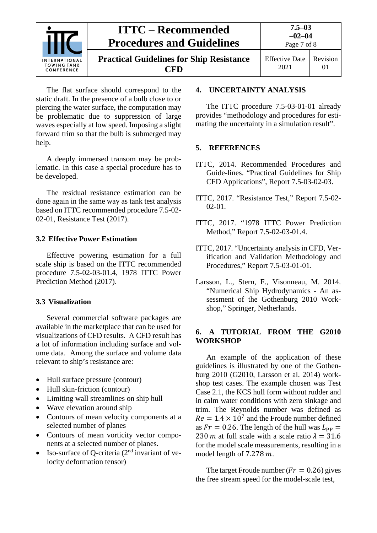

**Practical Guidelines for Ship Resistance CFD**

Effective Date 2021 Revision 01

The flat surface should correspond to the static draft. In the presence of a bulb close to or piercing the water surface, the computation may be problematic due to suppression of large waves especially at low speed. Imposing a slight forward trim so that the bulb is submerged may help.

A deeply immersed transom may be problematic. In this case a special procedure has to be developed.

The residual resistance estimation can be done again in the same way as tank test analysis based on ITTC recommended procedure 7.5-02- 02-01, Resistance Test (2017).

### <span id="page-6-0"></span>**3.2 Effective Power Estimation**

Effective powering estimation for a full scale ship is based on the ITTC recommended procedure 7.5-02-03-01.4, 1978 ITTC Power Prediction Method (2017).

### <span id="page-6-1"></span>**3.3 Visualization**

Several commercial software packages are available in the marketplace that can be used for visualizations of CFD results. A CFD result has a lot of information including surface and volume data. Among the surface and volume data relevant to ship's resistance are:

- Hull surface pressure (contour)
- Hull skin-friction (contour)
- Limiting wall streamlines on ship hull
- Wave elevation around ship
- Contours of mean velocity components at a selected number of planes
- Contours of mean vorticity vector components at a selected number of planes.
- Iso-surface of Q-criteria  $(2<sup>nd</sup>$  invariant of velocity deformation tensor)

### <span id="page-6-2"></span>**4. UNCERTAINTY ANALYSIS**

The ITTC procedure 7.5-03-01-01 already provides "methodology and procedures for estimating the uncertainty in a simulation result".

### <span id="page-6-3"></span>**5. REFERENCES**

- ITTC, 2014. Recommended Procedures and Guide-lines. "Practical Guidelines for Ship CFD Applications", Report 7.5-03-02-03.
- ITTC, 2017. "Resistance Test," Report 7.5-02- 02-01.
- ITTC, 2017. "1978 ITTC Power Prediction Method," Report 7.5-02-03-01.4.
- ITTC, 2017. "Uncertainty analysis in CFD, Verification and Validation Methodology and Procedures," Report 7.5-03-01-01.
- Larsson, L., Stern, F., Visonneau, M. 2014. "Numerical Ship Hydrodynamics - An assessment of the Gothenburg 2010 Workshop," Springer, Netherlands.

### <span id="page-6-4"></span>**6. A TUTORIAL FROM THE G2010 WORKSHOP**

An example of the application of these guidelines is illustrated by one of the Gothenburg 2010 (G2010, Larsson et al. 2014) workshop test cases. The example chosen was Test Case 2.1, the KCS hull form without rudder and in calm water conditions with zero sinkage and trim. The Reynolds number was defined as  $Re = 1.4 \times 10^7$  and the Froude number defined as  $Fr = 0.26$ . The length of the hull was  $L_{PP} =$ 230 m at full scale with a scale ratio  $\lambda = 31.6$ for the model scale measurements, resulting in a model length of  $7.278$   $m$ .

The target Froude number ( $Fr = 0.26$ ) gives the free stream speed for the model-scale test,